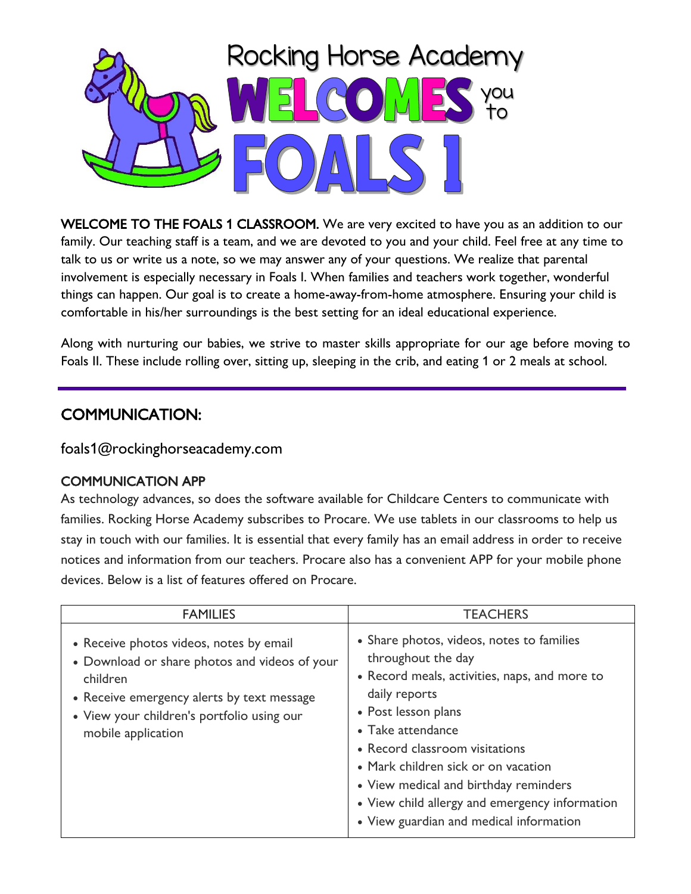

WELCOME TO THE FOALS 1 CLASSROOM. We are very excited to have you as an addition to our family. Our teaching staff is a team, and we are devoted to you and your child. Feel free at any time to talk to us or write us a note, so we may answer any of your questions. We realize that parental involvement is especially necessary in Foals I. When families and teachers work together, wonderful things can happen. Our goal is to create a home-away-from-home atmosphere. Ensuring your child is comfortable in his/her surroundings is the best setting for an ideal educational experience.

Along with nurturing our babies, we strive to master skills appropriate for our age before moving to Foals II. These include rolling over, sitting up, sleeping in the crib, and eating 1 or 2 meals at school.

## COMMUNICATION:

foals1@rockinghorseacademy.com

#### COMMUNICATION APP

As technology advances, so does the software available for Childcare Centers to communicate with families. Rocking Horse Academy subscribes to Procare. We use tablets in our classrooms to help us stay in touch with our families. It is essential that every family has an email address in order to receive notices and information from our teachers. Procare also has a convenient APP for your mobile phone devices. Below is a list of features offered on Procare.

| <b>FAMILIES</b>                                                                                                                                                                                                        | <b>TEACHERS</b>                                                                                                                                                                                                                                                                                                                                                                              |
|------------------------------------------------------------------------------------------------------------------------------------------------------------------------------------------------------------------------|----------------------------------------------------------------------------------------------------------------------------------------------------------------------------------------------------------------------------------------------------------------------------------------------------------------------------------------------------------------------------------------------|
| • Receive photos videos, notes by email<br>• Download or share photos and videos of your<br>children<br>• Receive emergency alerts by text message<br>• View your children's portfolio using our<br>mobile application | • Share photos, videos, notes to families<br>throughout the day<br>• Record meals, activities, naps, and more to<br>daily reports<br>• Post lesson plans<br>• Take attendance<br>• Record classroom visitations<br>• Mark children sick or on vacation<br>• View medical and birthday reminders<br>• View child allergy and emergency information<br>• View guardian and medical information |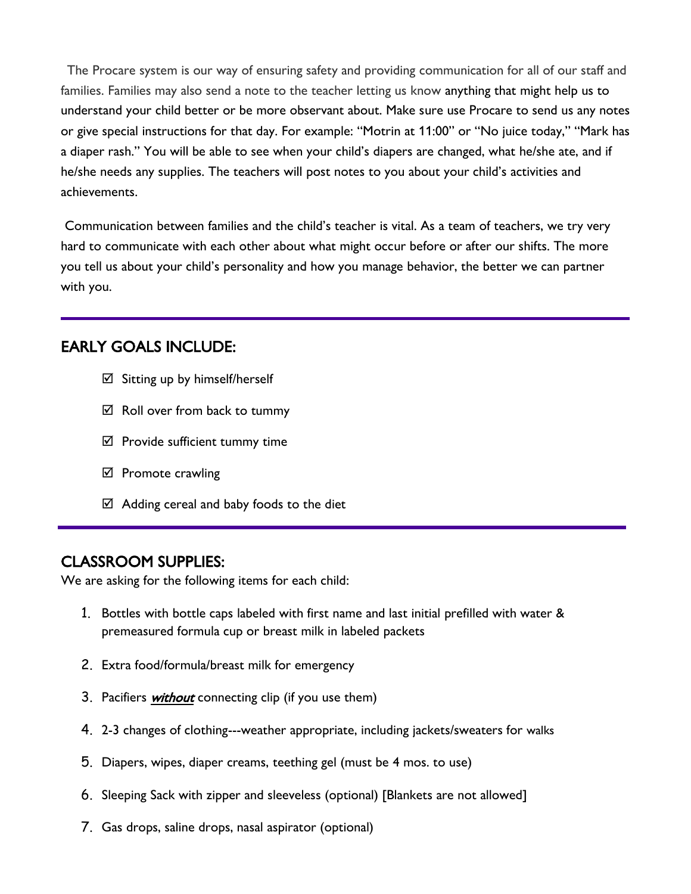The Procare system is our way of ensuring safety and providing communication for all of our staff and families. Families may also send a note to the teacher letting us know anything that might help us to understand your child better or be more observant about. Make sure use Procare to send us any notes or give special instructions for that day. For example: "Motrin at 11:00" or "No juice today," "Mark has a diaper rash." You will be able to see when your child's diapers are changed, what he/she ate, and if he/she needs any supplies. The teachers will post notes to you about your child's activities and achievements.

Communication between families and the child's teacher is vital. As a team of teachers, we try very hard to communicate with each other about what might occur before or after our shifts. The more you tell us about your child's personality and how you manage behavior, the better we can partner with you.

#### EARLY GOALS INCLUDE:

- $\boxtimes$  Sitting up by himself/herself
- $\boxtimes$  Roll over from back to tummy
- $\boxtimes$  Provide sufficient tummy time
- $\boxtimes$  Promote crawling
- $\boxtimes$  Adding cereal and baby foods to the diet

#### CLASSROOM SUPPLIES:

We are asking for the following items for each child:

- 1. Bottles with bottle caps labeled with first name and last initial prefilled with water & premeasured formula cup or breast milk in labeled packets
- 2. Extra food/formula/breast milk for emergency
- 3. Pacifiers *without* connecting clip (if you use them)
- 4. 2-3 changes of clothing---weather appropriate, including jackets/sweaters for walks
- 5. Diapers, wipes, diaper creams, teething gel (must be 4 mos. to use)
- 6. Sleeping Sack with zipper and sleeveless (optional) [Blankets are not allowed]
- 7. Gas drops, saline drops, nasal aspirator (optional)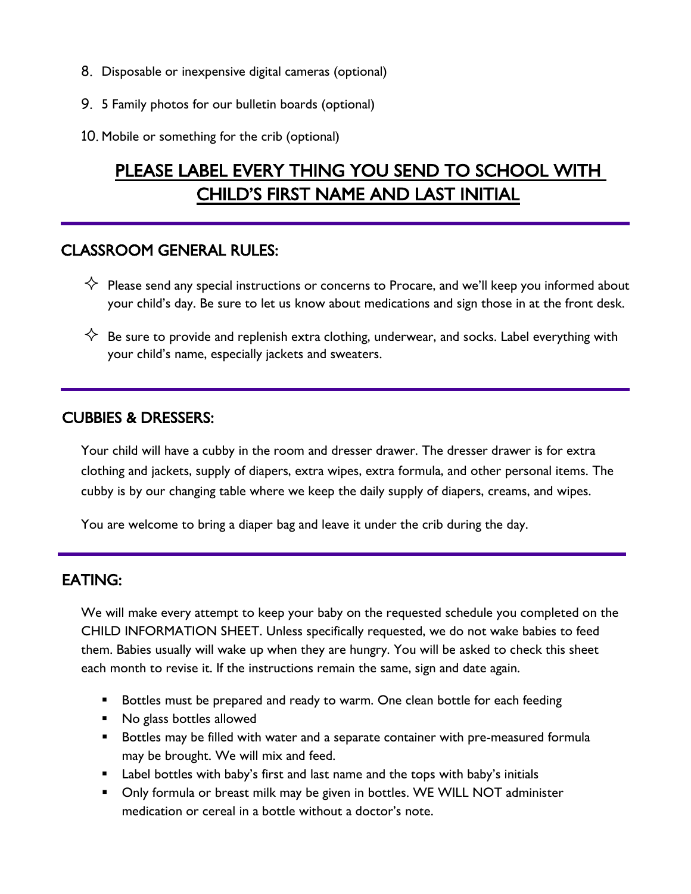- 8. Disposable or inexpensive digital cameras (optional)
- 9. 5 Family photos for our bulletin boards (optional)
- 10. Mobile or something for the crib (optional)

# PLEASE LABEL EVERY THING YOU SEND TO SCHOOL WITH CHILD'S FIRST NAME AND LAST INITIAL

#### CLASSROOM GENERAL RULES:

- $\diamondsuit$  Please send any special instructions or concerns to Procare, and we'll keep you informed about your child's day. Be sure to let us know about medications and sign those in at the front desk.
- $\diamondsuit$  Be sure to provide and replenish extra clothing, underwear, and socks. Label everything with your child's name, especially jackets and sweaters.

#### CUBBIES & DRESSERS:

Your child will have a cubby in the room and dresser drawer. The dresser drawer is for extra clothing and jackets, supply of diapers, extra wipes, extra formula, and other personal items. The cubby is by our changing table where we keep the daily supply of diapers, creams, and wipes.

You are welcome to bring a diaper bag and leave it under the crib during the day.

#### EATING:

We will make every attempt to keep your baby on the requested schedule you completed on the CHILD INFORMATION SHEET. Unless specifically requested, we do not wake babies to feed them. Babies usually will wake up when they are hungry. You will be asked to check this sheet each month to revise it. If the instructions remain the same, sign and date again.

- Bottles must be prepared and ready to warm. One clean bottle for each feeding
- No glass bottles allowed
- Bottles may be filled with water and a separate container with pre-measured formula may be brought. We will mix and feed.
- Label bottles with baby's first and last name and the tops with baby's initials
- Only formula or breast milk may be given in bottles. WE WILL NOT administer medication or cereal in a bottle without a doctor's note.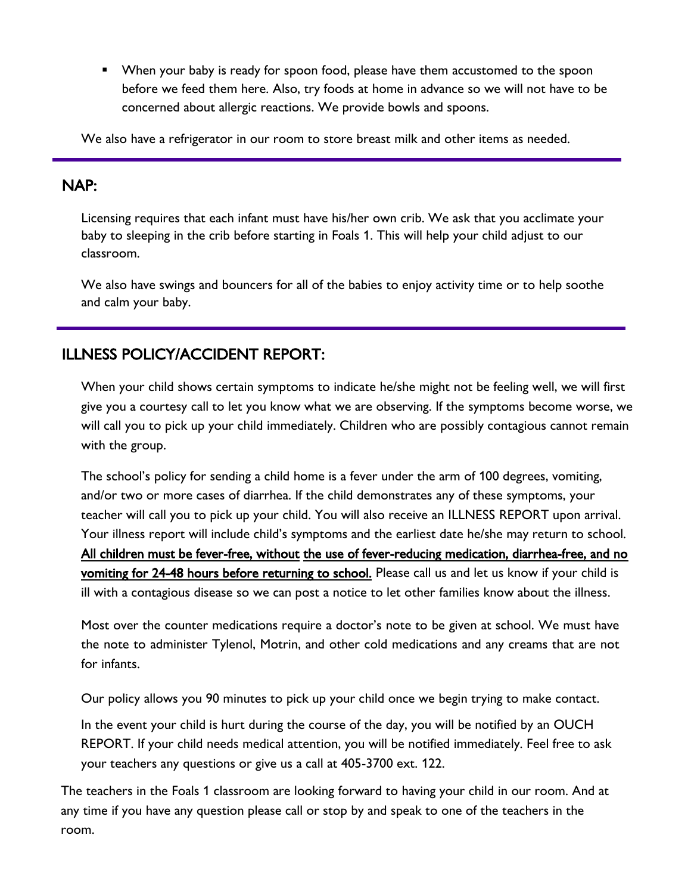■ When your baby is ready for spoon food, please have them accustomed to the spoon before we feed them here. Also, try foods at home in advance so we will not have to be concerned about allergic reactions. We provide bowls and spoons.

We also have a refrigerator in our room to store breast milk and other items as needed.

#### NAP:

Licensing requires that each infant must have his/her own crib. We ask that you acclimate your baby to sleeping in the crib before starting in Foals 1. This will help your child adjust to our classroom.

We also have swings and bouncers for all of the babies to enjoy activity time or to help soothe and calm your baby.

### ILLNESS POLICY/ACCIDENT REPORT:

When your child shows certain symptoms to indicate he/she might not be feeling well, we will first give you a courtesy call to let you know what we are observing. If the symptoms become worse, we will call you to pick up your child immediately. Children who are possibly contagious cannot remain with the group.

The school's policy for sending a child home is a fever under the arm of 100 degrees, vomiting, and/or two or more cases of diarrhea. If the child demonstrates any of these symptoms, your teacher will call you to pick up your child. You will also receive an ILLNESS REPORT upon arrival. Your illness report will include child's symptoms and the earliest date he/she may return to school. All children must be fever-free, without the use of fever-reducing medication, diarrhea-free, and no vomiting for 24-48 hours before returning to school. Please call us and let us know if your child is ill with a contagious disease so we can post a notice to let other families know about the illness.

Most over the counter medications require a doctor's note to be given at school. We must have the note to administer Tylenol, Motrin, and other cold medications and any creams that are not for infants.

Our policy allows you 90 minutes to pick up your child once we begin trying to make contact.

In the event your child is hurt during the course of the day, you will be notified by an OUCH REPORT. If your child needs medical attention, you will be notified immediately. Feel free to ask your teachers any questions or give us a call at 405-3700 ext. 122.

The teachers in the Foals 1 classroom are looking forward to having your child in our room. And at any time if you have any question please call or stop by and speak to one of the teachers in the room.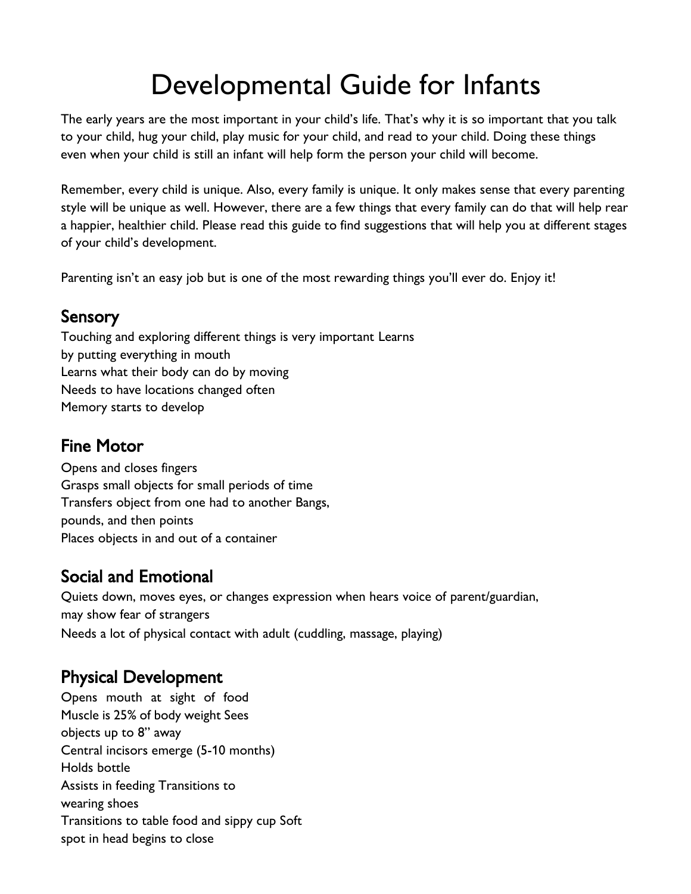# Developmental Guide for Infants

The early years are the most important in your child's life. That's why it is so important that you talk to your child, hug your child, play music for your child, and read to your child. Doing these things even when your child is still an infant will help form the person your child will become.

Remember, every child is unique. Also, every family is unique. It only makes sense that every parenting style will be unique as well. However, there are a few things that every family can do that will help rear a happier, healthier child. Please read this guide to find suggestions that will help you at different stages of your child's development.

Parenting isn't an easy job but is one of the most rewarding things you'll ever do. Enjoy it!

### Sensory

Touching and exploring different things is very important Learns by putting everything in mouth Learns what their body can do by moving Needs to have locations changed often Memory starts to develop

## Fine Motor

Opens and closes fingers Grasps small objects for small periods of time Transfers object from one had to another Bangs, pounds, and then points Places objects in and out of a container

## Social and Emotional

Quiets down, moves eyes, or changes expression when hears voice of parent/guardian, may show fear of strangers Needs a lot of physical contact with adult (cuddling, massage, playing)

## Physical Development

Opens mouth at sight of food Muscle is 25% of body weight Sees objects up to 8" away Central incisors emerge (5-10 months) Holds bottle Assists in feeding Transitions to wearing shoes Transitions to table food and sippy cup Soft spot in head begins to close